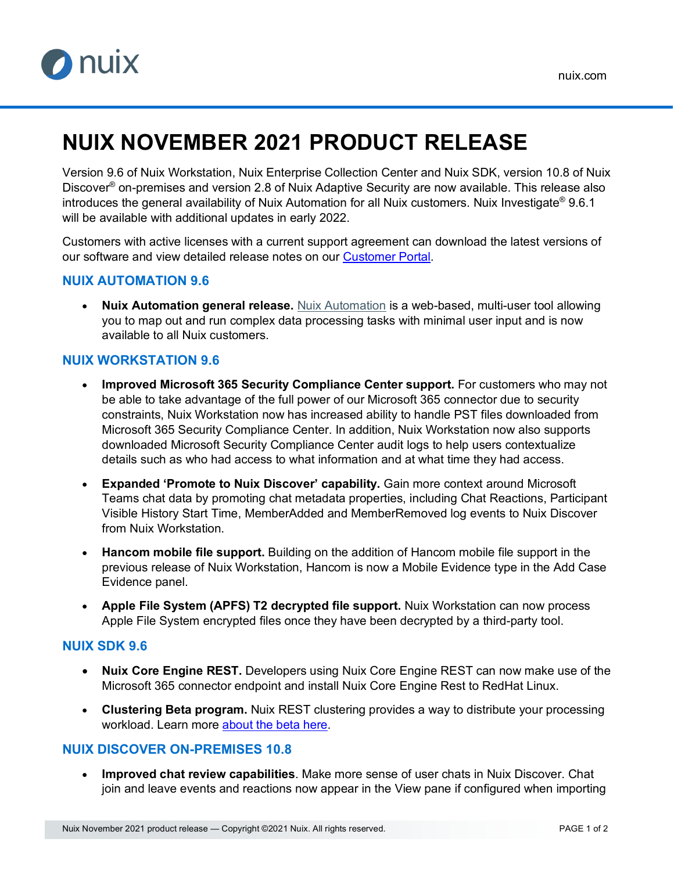

# **NUIX NOVEMBER 2021 PRODUCT RELEASE**

Version 9.6 of Nuix Workstation, Nuix Enterprise Collection Center and Nuix SDK, version 10.8 of Nuix Discover® on-premises and version 2.8 of Nuix Adaptive Security are now available. This release also introduces the general availability of Nuix Automation for all Nuix customers. Nuix Investigate<sup>®</sup> 9.6.1 will be available with additional updates in early 2022.

Customers with active licenses with a current support agreement can download the latest versions of our software and view detailed release notes on our [Customer Portal.](https://download.nuix.com/)

### **NUIX AUTOMATION 9.6**

• **Nuix Automation general release.** [Nuix Automation](https://go.nuix.com/nuix-automation) is a web-based, multi-user tool allowing you to map out and run complex data processing tasks with minimal user input and is now available to all Nuix customers.

## **NUIX WORKSTATION 9.6**

- **Improved Microsoft 365 Security Compliance Center support.** For customers who may not be able to take advantage of the full power of our Microsoft 365 connector due to security constraints, Nuix Workstation now has increased ability to handle PST files downloaded from Microsoft 365 Security Compliance Center. In addition, Nuix Workstation now also supports downloaded Microsoft Security Compliance Center audit logs to help users contextualize details such as who had access to what information and at what time they had access.
- **Expanded 'Promote to Nuix Discover' capability.** Gain more context around Microsoft Teams chat data by promoting chat metadata properties, including Chat Reactions, Participant Visible History Start Time, MemberAdded and MemberRemoved log events to Nuix Discover from Nuix Workstation.
- **Hancom mobile file support.** Building on the addition of Hancom mobile file support in the previous release of Nuix Workstation, Hancom is now a Mobile Evidence type in the Add Case Evidence panel.
- **Apple File System (APFS) T2 decrypted file support.** Nuix Workstation can now process Apple File System encrypted files once they have been decrypted by a third-party tool.

### **NUIX SDK 9.6**

- **Nuix Core Engine REST.** Developers using Nuix Core Engine REST can now make use of the Microsoft 365 connector endpoint and install Nuix Core Engine Rest to RedHat Linux.
- **Clustering Beta program.** Nuix REST clustering provides a way to distribute your processing workload. Learn more [about the beta here.](https://nuix.github.io/sdk-docs/latest/getting-started/rest/configuration/clusteringsetup.html)

### **NUIX DISCOVER ON-PREMISES 10.8**

• **Improved chat review capabilities**. Make more sense of user chats in Nuix Discover. Chat join and leave events and reactions now appear in the View pane if configured when importing